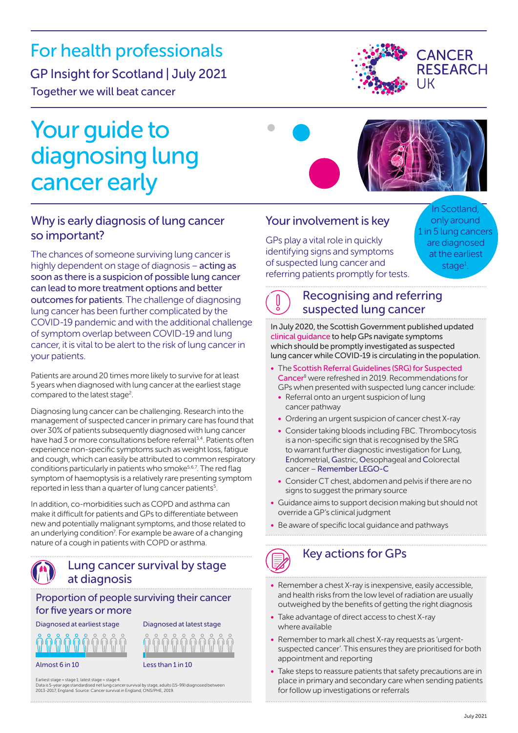# For health professionals

# GP Insight for Scotland | July 2021

Together we will beat cancer

# Your guide to diagnosing lung cancer early





# Why is early diagnosis of lung cancer so important?

The chances of someone surviving lung cancer is highly dependent on stage of diagnosis – acting as soon as there is a suspicion of possible lung cancer can lead to more treatment options and better outcomes for patients. The challenge of diagnosing lung cancer has been further complicated by the COVID-19 pandemic and with the additional challenge of symptom overlap between COVID-19 and lung cancer, it is vital to be alert to the risk of lung cancer in your patients.

Patients are around 20 times more likely to survive for at least 5 years when diagnosed with lung cancer at the earliest stage compared to the latest stage<sup>2</sup>.

Diagnosing lung cancer can be challenging. Research into the management of suspected cancer in primary care has found that over 30% of patients subsequently diagnosed with lung cancer have had 3 or more consultations before referral<sup>3,4</sup>. Patients often experience non-specific symptoms such as weight loss, fatigue and cough, which can easily be attributed to common respiratory conditions particularly in patients who smoke<sup>5,6,7</sup>. The red flag symptom of haemoptysis is a relatively rare presenting symptom reported in less than a quarter of lung cancer patients<sup>5</sup>.

In addition, co-morbidities such as COPD and asthma can make it difficult for patients and GPs to differentiate between new and potentially malignant symptoms, and those related to an underlying condition<sup>7</sup>. For example be aware of a changing nature of a cough in patients with COPD or asthma.

# Lung cancer survival by stage at diagnosis

Proportion of people surviving their cancer for five years or more

Diagnosed at earliest stage

Almost 6 in 10 Less than 1 in 10

Diagnosed at latest stage

Earliest stage = stage 1; latest stage = stage 4. Data is 5-year age standardised net lung cancer survival by stage, adults (15-99) diagnosed between 2013-2017, England. Source: Cancer survival in England, ONS/PHE, 2019.

## Your involvement is key

 $\blacksquare$ 

GPs play a vital role in quickly identifying signs and symptoms of suspected lung cancer and referring patients promptly for tests.

In Scotland, only around 1 in 5 lung cancers are diagnosed at the earliest stage<sup>[1](#page-1-0)</sup>.

# Recognising and referring suspected lung cancer

In July 2020, the Scottish Government published updated [clinical guidance](https://www.gov.scot/publications/coronavirus-covid-19-management-of-urgent-suspicion-of-lung-cancer-referrals/) to help GPs navigate symptoms which should be promptly investigated as suspected lung cancer while COVID-19 is circulating in the population.

- The [Scottish Referral Guidelines \(SRG\) for Suspected](http://www.cancerreferral.scot.nhs.uk/)  [Cancer](http://www.cancerreferral.scot.nhs.uk/)8 were refreshed in 2019. Recommendations for GPs when presented with suspected lung cancer include:
	- Referral onto an urgent suspicion of lung cancer pathway
	- Ordering an urgent suspicion of cancer chest X-ray
	- Consider taking bloods including FBC. Thrombocytosis is a non-specific sign that is recognised by the SRG to warrant further diagnostic investigation for Lung, Endometrial, Gastric, Oesophageal and Colorectal cancer – Remember LEGO-C
	- Consider CT chest, abdomen and pelvis if there are no signs to suggest the primary source
- Guidance aims to support decision making but should not override a GP's clinical judgment
- Be aware of specific local guidance and pathways



- Remember a chest X-ray is inexpensive, easily accessible, and health risks from the low level of radiation are usually outweighed by the benefits of getting the right diagnosis
- Take advantage of direct access to chest X-ray where available
- Remember to mark all chest X-ray requests as 'urgentsuspected cancer'. This ensures they are prioritised for both appointment and reporting
- Take steps to reassure patients that safety precautions are in place in primary and secondary care when sending patients for follow up investigations or referrals